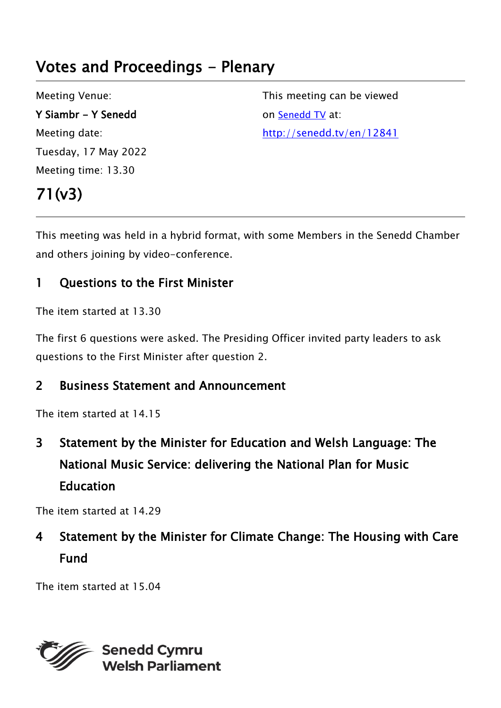# Votes and Proceedings - Plenary

Meeting Venue: Y Siambr - Y Senedd Meeting date: Tuesday, 17 May 2022 Meeting time: 13.30

This meeting can be viewed on [Senedd TV](http://senedd.tv/) at: http://senedd.tv/en/12841

# 71(v3)

This meeting was held in a hybrid format, with some Members in the Senedd Chamber and others joining by video-conference.

### 1 Questions to the First Minister

The item started at 13.30

The first 6 questions were asked. The Presiding Officer invited party leaders to ask questions to the First Minister after question 2.

#### 2 Business Statement and Announcement

The item started at 14.15

3 Statement by the Minister for Education and Welsh Language: The National Music Service: delivering the National Plan for Music Education

The item started at 14.29

# 4 Statement by the Minister for Climate Change: The Housing with Care Fund

The item started at 15.04

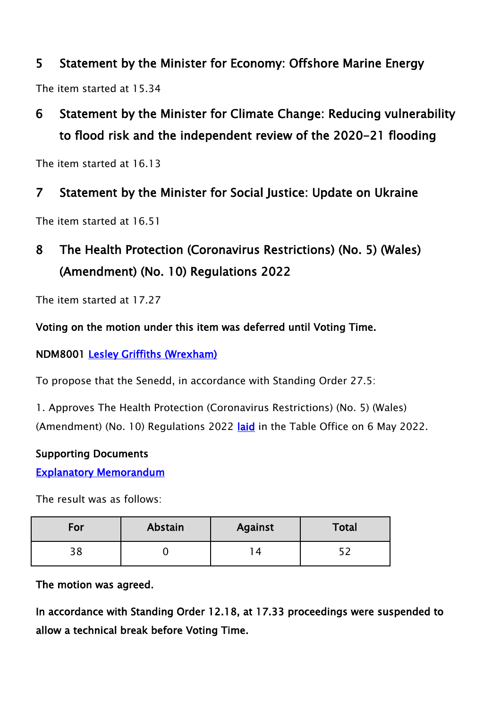### 5 Statement by the Minister for Economy: Offshore Marine Energy

The item started at 15.34

# 6 Statement by the Minister for Climate Change: Reducing vulnerability to flood risk and the independent review of the 2020-21 flooding

The item started at 16.13

### 7 Statement by the Minister for Social Justice: Update on Ukraine

The item started at 16.51

## 8 The Health Protection (Coronavirus Restrictions) (No. 5) (Wales) (Amendment) (No. 10) Regulations 2022

The item started at 17.27

#### Voting on the motion under this item was deferred until Voting Time.

NDM8001 [Lesley Griffiths \(Wrexham\)](https://business.senedd.wales/mgUserInfo.aspx?UID=154)

To propose that the Senedd, in accordance with Standing Order 27.5:

1. Approves The Health Protection (Coronavirus Restrictions) (No. 5) (Wales) (Amendment) (No. 10) Regulations 2022 [laid](https://senedd.wales/media/3jfh1gzr/sub-ld15106-e.pdf) in the Table Office on 6 May 2022.

#### Supporting Documents

**[Explanatory Memorandum](https://senedd.wales/media/y1dnkcu0/sub-ld15106-em-e.pdf)** 

The result was as follows:

| For | Abstain | <b>Against</b> | Total |
|-----|---------|----------------|-------|
| 38  |         |                |       |

The motion was agreed.

In accordance with Standing Order 12.18, at 17.33 proceedings were suspended to allow a technical break before Voting Time.